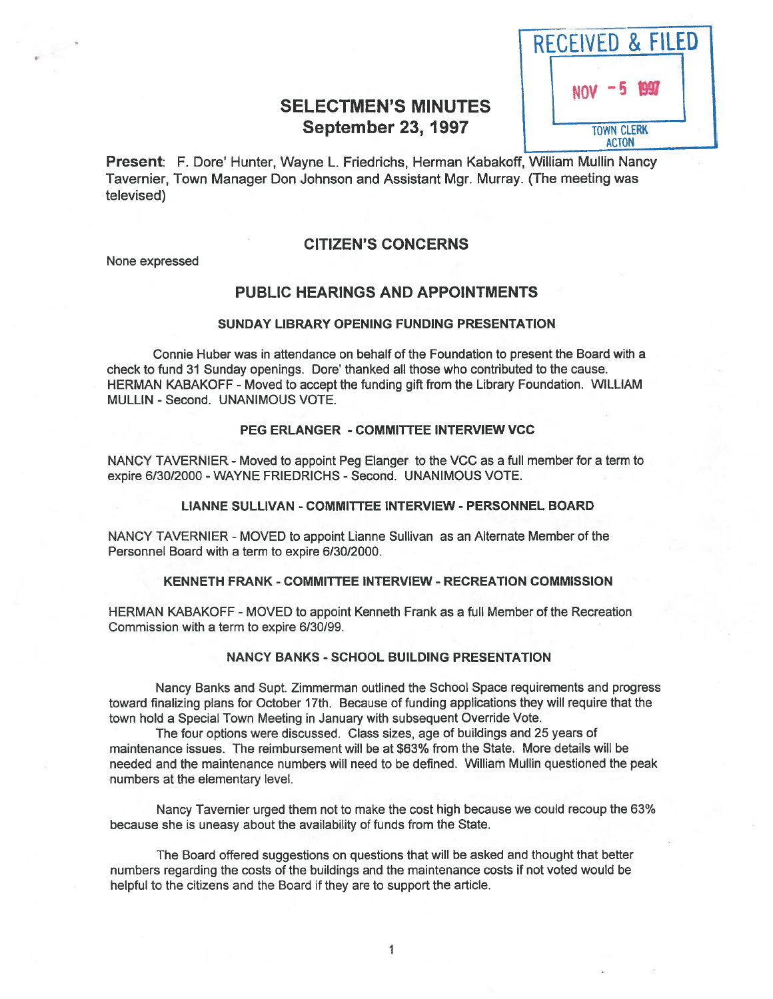| <b>SELECTMEN'S MINUTES</b> |  |                   |
|----------------------------|--|-------------------|
| <b>September 23, 1997</b>  |  | <b>TOWN CLERK</b> |



Present: F. Dote' Hunter, Wayne L. Friedrichs, Herman Kabakoff, William Mullin Nancy Tavernier, Town Manager Don Johnson and Assistant Mgr. Murray. (The meeting was televised)

### CITIZEN'S CONCERNS

None expressed

## PUBLIC HEARINGS AND APPOINTMENTS

#### SUNDAY LIBRARY OPENING FUNDING PRESENTATION

Connie Huber was in attendance on behalf of the Foundation to presen<sup>t</sup> the Board with <sup>a</sup> check to fund 31 Sunday openings. Dore' thanked all those who contributed to the cause. HERMAN KABAKOFF - Moved to accep<sup>t</sup> the funding gift from the Library Foundation. WILLIAM MULLIN -Second. UNANIMOUS VOTE.

### PEG ERLANGER - COMMITTEE INTERVIEW VCC

NANCY TAVERNIER - Moved to appoint Peg Elanger to the VCC as a full member for a term to expire 6/30/2000 - WAYNE FRIEDRICHS - Second. UNANIMOUS VOTE.

#### LIANNE SULLIVAN -COMMITTEE INTERVIEW - PERSONNEL BOARD

NANCY TAVERNIER - MOVED to appoint Lianne Sullivan as an Alternate Member of the Personnel Board with <sup>a</sup> term to expire 6/30/2000.

#### KENNETH FRANK -COMMITTEE INTERVIEW -RECREATION COMMISSION

HERMAN KABAKOFF - MOVED to appoint Kenneth Frank as <sup>a</sup> full Member of the Recreation Commission with <sup>a</sup> term to expire 6/30/99.

#### NANCY BANKS - SCHOOL BUILDING PRESENTATION

Nancy Banks and Supt. Zimmerman outlined the School Space requirements and progress toward finalizing plans for October 17th. Because of funding applications they will require that the town hold <sup>a</sup> Special Town Meeting in January with subsequent Override Vote.

The four options were discussed. Class sizes, age of buildings and 25 years of maintenance issues. The reimbursement will be at \$63% from the State. More details will be needed and the maintenance numbers will need to be defined. William Mullin questioned the peak numbers at the elementary level.

Nancy Tavernier urged them not to make the cost high because we could recoup the 63% because she is uneasy about the availability of funds from the State.

The Board offered suggestions on questions that will be asked and thought that better numbers regarding the costs of the buildings and the maintenance costs if not voted would be helpful to the citizens and the Board if they are to suppor<sup>t</sup> the article.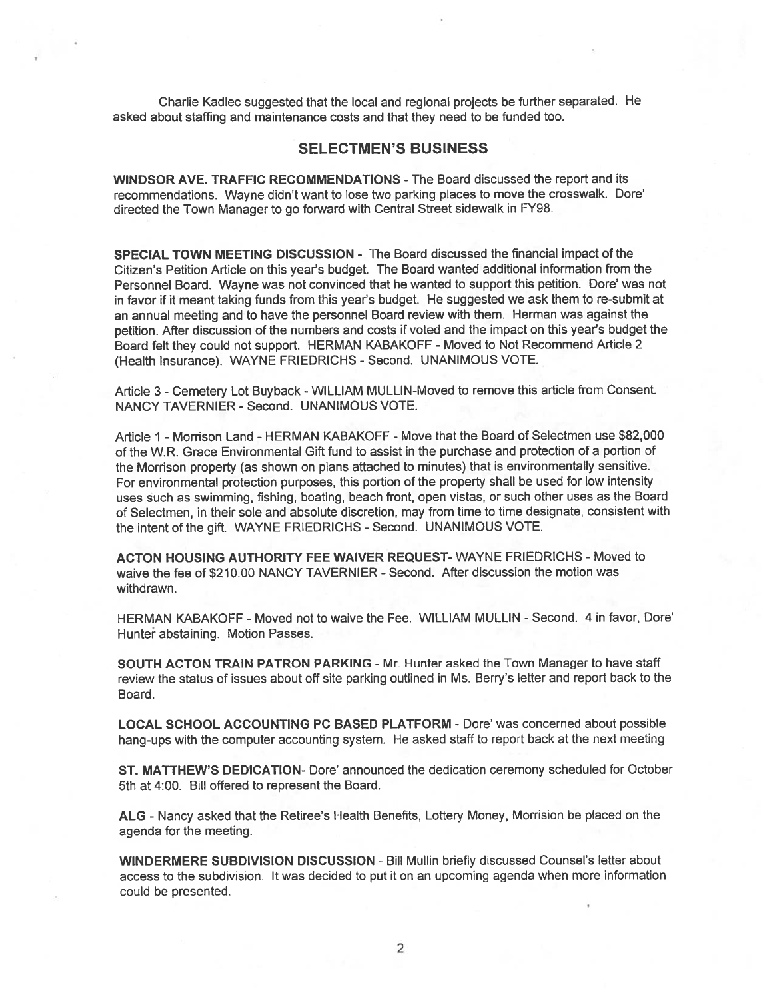Charlie Kadlec suggested that the local and regional projects be further separated. He asked about staffing and maintenance costs and that they need to be funded too.

### SELECTMEN'S BUSINESS

WINDSOR AVE. TRAFFIC RECOMMENDATIONS -The Board discussed the repor<sup>t</sup> and its recommendations. Wayne didn't want to lose two parking <sup>p</sup>laces to move the crosswalk. Dore' directed the Town Manager to go forward with Central Street sidewalk in FY98.

SPECIAL TOWN MEETING DISCUSSION - The Board discussed the financial impact of the Citizen's Petition Article on this year's budget. The Board wanted additional information from the Personnel Board. Wayne was not convinced that he wanted to suppor<sup>t</sup> this petition. Dore' was not in favor if it meant taking funds from this year's budget. He suggested we ask them to re-submit at an annual meeting and to have the personne<sup>l</sup> Board review with them. Herman was against the petition. After discussion of the numbers and costs if voted and the impact on this year's budget the Board felt they could not support. HERMAN KABAKOFF - Moved to Not Recommend Article 2 (Health Insurance). WAYNE FRIEDRICHS - Second. UNANIMOUS VOTE.

Article 3 - Cemetery Lot Buyback - WILLIAM MULLIN-Moved to remove this article from Consent. NANCY TAVERNIER - Second. UNANIMOUS VOTE.

Article 1 - Morrison Land - HERMAN KABAKOFF - Move that the Board of Selectmen use \$82,000 of the W.R. Grace Environmental Gift fund to assist in the purchase and protection of <sup>a</sup> portion of the Morrison property (as shown on <sup>p</sup>lans attached to minutes) that is environmentally sensitive. For environmental protection purposes, this portion of the property shall be used for low intensity uses such as swimming, fishing, boating, beach front, open vistas, or such other uses as the Board of Selectmen, in their sole and absolute discretion, may from time to time designate, consistent with the intent of the gift. WAYNE FRIEDRICHS - Second. UNANIMOUS VOTE.

ACTON HOUSING AUTHORITY FEE WAIVER REQUEST-WAYNE FRIEDRICHS - Moved to waive the fee of \$210.00 NANCY TAVERNIER - Second. After discussion the motion was withdrawn.

HERMAN KABAKOFF -Moved not to waive the Fee. WILLIAM MULLIN -Second. 4 in favor, Dore' Hunter abstaining. Motion Passes.

SOUTH ACTON TRAIN PATRON PARKING - Mr. Hunter asked the Town Manager to have staff review the status of issues about off site parking outlined in Ms. Berry's letter and repor<sup>t</sup> back to the Board.

LOCAL SCHOOL ACCOUNTING PC BASED PLATFORM -Dore' was concerned about possible hang-ups with the computer accounting system. He asked staff to repor<sup>t</sup> back at the next meeting

ST. MATTHEW'S DEDICATION- Dote' announced the dedication ceremony scheduled for October 5th at 4:00. Bill offered to represen<sup>t</sup> the Board.

ALG -Nancy asked that the Retiree's Health Benefits, Lottery Money, Morrision be <sup>p</sup>laced on the agenda for the meeting.

WINDERMERE SUBDIVISION DISCUSSION -Bill Mullin briefly discussed Counsel's letter about access to the subdivision. It was decided to pu<sup>t</sup> it on an upcoming agenda when more information could be presented.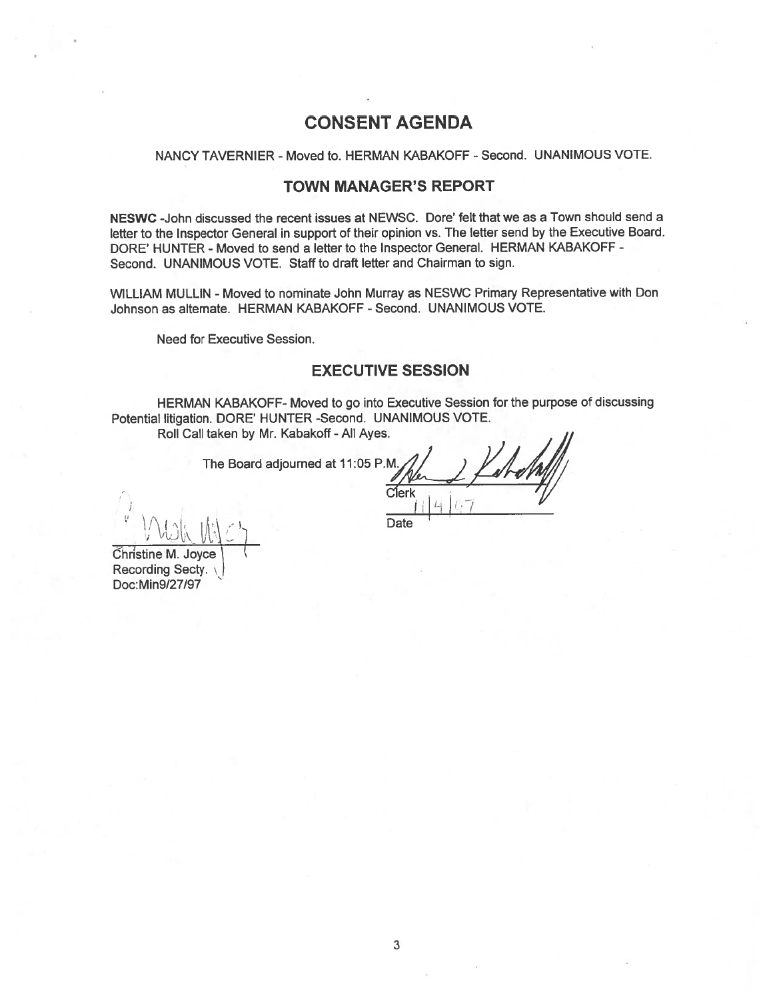# CONSENT AGENDA

### NANCY TAVERNIER - Moved to. HERMAN KABAKOFF - Second. UNANIMOUS VOTE.

### TOWN MANAGER'S REPORT

NESWC -John discussed the recent issues at NEWSC. Dore' felt that we as <sup>a</sup> Town should send <sup>a</sup> letter to the Inspector General in suppor<sup>t</sup> of their opinion vs. The letter send by the Executive Board. DORE' HUNTER - Moved to send a letter to the Inspector General. HERMAN KABAKOFF -Second. UNANIMOUS VOTE. Staff to draft letter and Chairman to sign.

WILLIAM MULLIN - Moved to nominate John Murray as NESWC Primary Representative with Don Johnson as alternate. HERMAN KABAKOFF - Second. UNANIMOUS VOTE.

Need for Executive Session.

## EXECUTIVE SESSION

HERMAN KABAKOFF- Moved to go into Executive Session for the purpose of discussing Potential litigation. DORE' HUNTER -Second. UNANIMOUS VOTE.

Roll Call taken by Mr. Kabakoff -All Ayes.

The Board adjourned at 11:05 P.M

Christine M. Joyce Recording Secty. Doc: Min9/27/97

Date

Clerk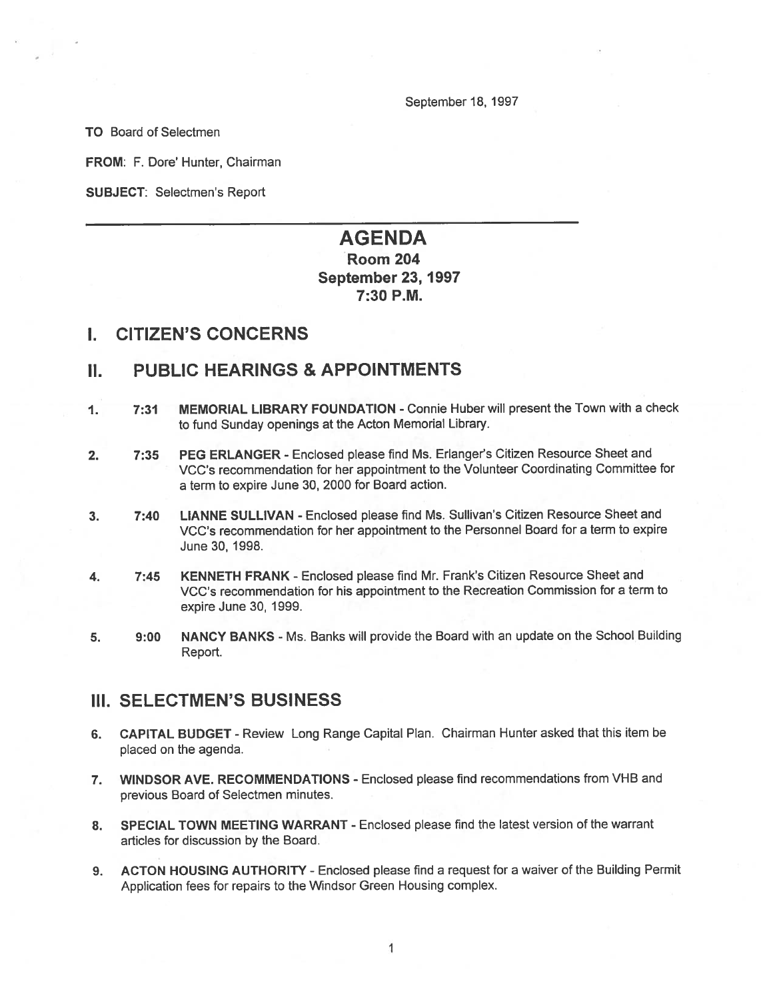September 18, 1997

TO Board of Selectmen

FROM: F. Dore' Hunter, Chairman

SUBJECT: Selectmen's Report

# AGENDA Room 204 September 23, 1997 7:30 P.M.

## I. CITIZEN'S CONCERNS

# II. PUBLIC HEARINGS & APPOINTMENTS

- 1. 7:31 MEMORIAL LIBRARY FOUNDATION Connie Huber will presen<sup>t</sup> the Town with <sup>a</sup> check to fund Sunday openings at the Acton Memorial Library.
- 2. 7:35 PEG ERLANGER Enclosed please find Ms. Erlanger's Citizen Resource Sheet and VCC's recommendation for her appointment to the Volunteer Coordinating Committee for <sup>a</sup> term to expire June 30, 2000 for Board action.
- 3. 7:40 LIANNE SULLIVAN Enclosed <sup>p</sup>lease find Ms. Sullivan's Citizen Resource Sheet and VCC's recommendation for her appointment to the Personnel Board for <sup>a</sup> term to expire June 30, 1998.
- 4. 7:45 KENNETH FRANK Enclosed <sup>p</sup>lease find Mr. Frank's Citizen Resource Sheet and VCC's recommendation for his appointment to the Recreation Commission for <sup>a</sup> term to expire June 30, 1999.
- 5. 9:00 NANCY BANKS Ms. Banks will provide the Board with an update on the School Building Report.

## III. SELECTMEN'S BUSINESS

- 6. CAPITAL BUDGET Review Long Range Capital Plan. Chairman Hunter asked that this item be placed on the agenda.
- 7. WINDSOR AVE. RECOMMENDATIONS Enclosed please find recommendations from VHB and previous Board of Selectmen minutes.
- 8. SPECIAL TOWN MEETING WARRANT Enclosed please find the latest version of the warrant articles for discussion by the Board.
- 9. ACTON HOUSING AUTHORITY -Enclosed <sup>p</sup>lease find <sup>a</sup> reques<sup>t</sup> for <sup>a</sup> waiver of the Building Permit Application fees for repairs to the Windsor Green Housing complex.